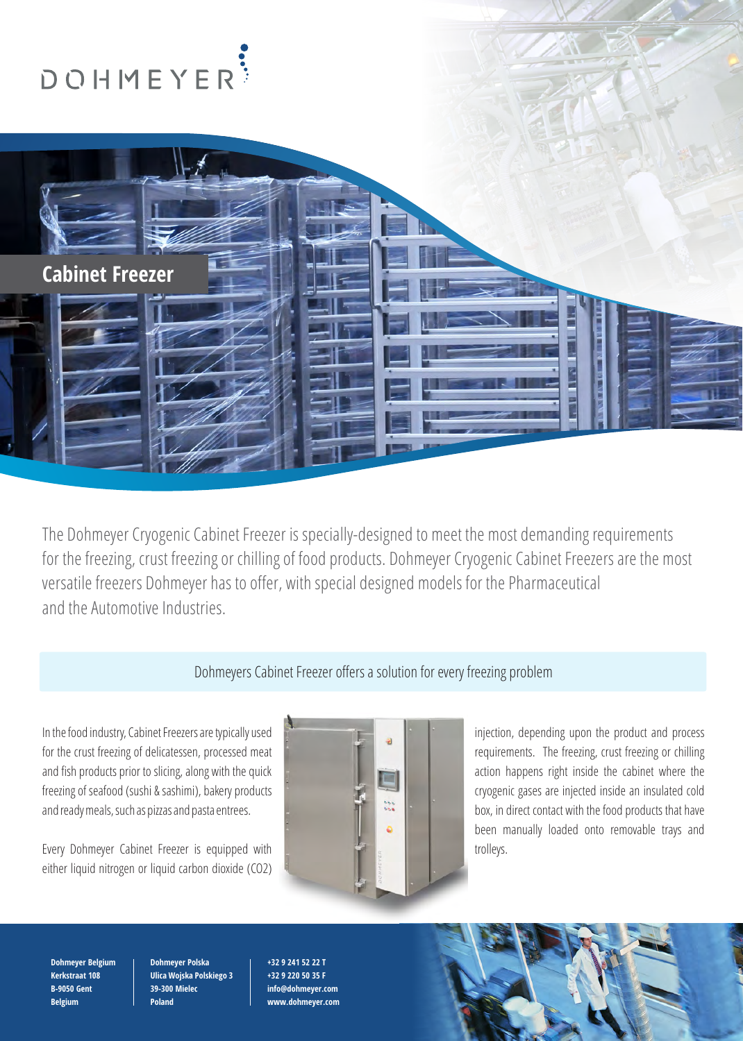

The Dohmeyer Cryogenic Cabinet Freezer is specially-designed to meet the most demanding requirements for the freezing, crust freezing or chilling of food products. Dohmeyer Cryogenic Cabinet Freezers are the most versatile freezers Dohmeyer has to offer, with special designed models for the Pharmaceutical and the Automotive Industries.

## Dohmeyers Cabinet Freezer offers a solution for every freezing problem

for the crust freezing of delicatessen, processed meat requirements. The freezing, crust freezing or chilling and fish products prior to slicing, along with the quick action **action happens right inside the cabinet where the** freezing of seafood (sushi & sashimi), bakery products cryogenic gases are injected inside an insulated cold cryogenic gases are injected inside an insulated cold and ready meals, such as pizzas and pasta entrees. by each contact with the food products that have

Every Dohmeyer Cabinet Freezer is equipped with the state of the state of trolleys. either liquid nitrogen or liquid carbon dioxide (CO2)



In the food industry, Cabinet Freezers are typically used in the state of the control injection, depending upon the product and process been manually loaded onto removable trays and

**Dohmeyer Belgium Kerkstraat 108 B-9050 Gent Belgium**

**Dohmeyer Polska Ulica Wojska Polskiego 3 39-300 Mielec Poland**

**+32 9 241 52 22 T +32 9 220 50 35 F info@dohmeyer.com www.dohmeyer.com**